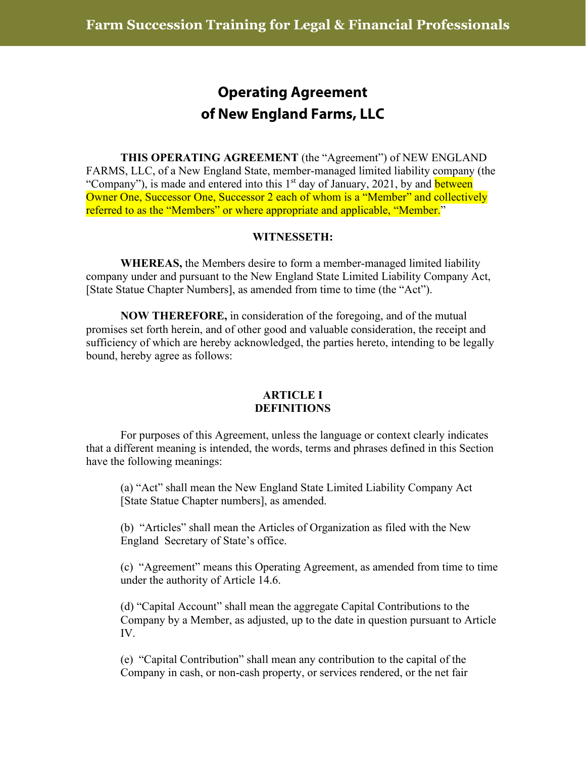# **Operating Agreement of New England Farms, LLC**

**THIS OPERATING AGREEMENT** (the "Agreement") of NEW ENGLAND FARMS, LLC, of a New England State, member-managed limited liability company (the "Company"), is made and entered into this 1<sup>st</sup> day of January, 2021, by and **between** Owner One, Successor One, Successor 2 each of whom is a "Member" and collectively referred to as the "Members" or where appropriate and applicable, "Member."

#### **WITNESSETH:**

**WHEREAS,** the Members desire to form a member-managed limited liability company under and pursuant to the New England State Limited Liability Company Act, [State Statue Chapter Numbers], as amended from time to time (the "Act").

**NOW THEREFORE,** in consideration of the foregoing, and of the mutual promises set forth herein, and of other good and valuable consideration, the receipt and sufficiency of which are hereby acknowledged, the parties hereto, intending to be legally bound, hereby agree as follows:

#### **ARTICLE I DEFINITIONS**

For purposes of this Agreement, unless the language or context clearly indicates that a different meaning is intended, the words, terms and phrases defined in this Section have the following meanings:

(a) "Act" shall mean the New England State Limited Liability Company Act [State Statue Chapter numbers], as amended.

(b) "Articles" shall mean the Articles of Organization as filed with the New England Secretary of State's office.

(c) "Agreement" means this Operating Agreement, as amended from time to time under the authority of Article 14.6.

(d) "Capital Account" shall mean the aggregate Capital Contributions to the Company by a Member, as adjusted, up to the date in question pursuant to Article IV.

(e) "Capital Contribution" shall mean any contribution to the capital of the Company in cash, or non-cash property, or services rendered, or the net fair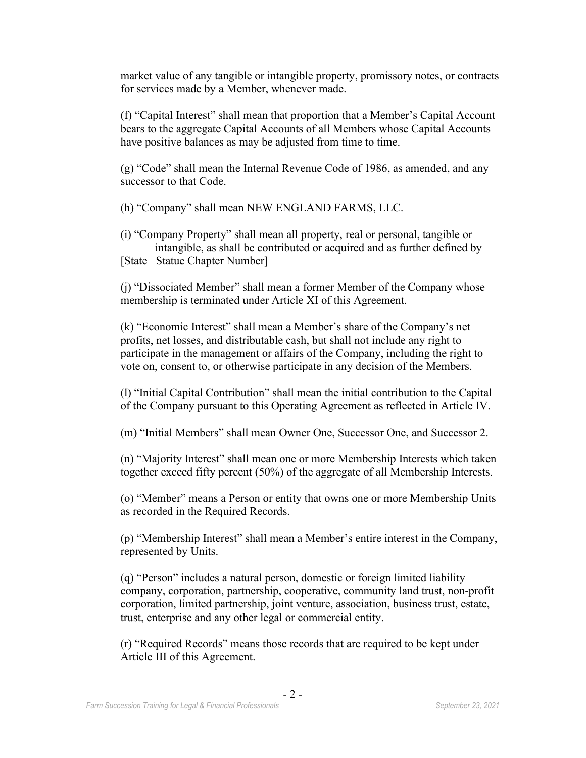market value of any tangible or intangible property, promissory notes, or contracts for services made by a Member, whenever made.

(f) "Capital Interest" shall mean that proportion that a Member's Capital Account bears to the aggregate Capital Accounts of all Members whose Capital Accounts have positive balances as may be adjusted from time to time.

(g) "Code" shall mean the Internal Revenue Code of 1986, as amended, and any successor to that Code.

(h) "Company" shall mean NEW ENGLAND FARMS, LLC.

(i) "Company Property" shall mean all property, real or personal, tangible or intangible, as shall be contributed or acquired and as further defined by [State Statue Chapter Number]

(j) "Dissociated Member" shall mean a former Member of the Company whose membership is terminated under Article XI of this Agreement.

(k) "Economic Interest" shall mean a Member's share of the Company's net profits, net losses, and distributable cash, but shall not include any right to participate in the management or affairs of the Company, including the right to vote on, consent to, or otherwise participate in any decision of the Members.

(l) "Initial Capital Contribution" shall mean the initial contribution to the Capital of the Company pursuant to this Operating Agreement as reflected in Article IV.

(m) "Initial Members" shall mean Owner One, Successor One, and Successor 2.

(n) "Majority Interest" shall mean one or more Membership Interests which taken together exceed fifty percent (50%) of the aggregate of all Membership Interests.

(o) "Member" means a Person or entity that owns one or more Membership Units as recorded in the Required Records.

(p) "Membership Interest" shall mean a Member's entire interest in the Company, represented by Units.

(q) "Person" includes a natural person, domestic or foreign limited liability company, corporation, partnership, cooperative, community land trust, non-profit corporation, limited partnership, joint venture, association, business trust, estate, trust, enterprise and any other legal or commercial entity.

(r) "Required Records" means those records that are required to be kept under Article III of this Agreement.

 $-2-$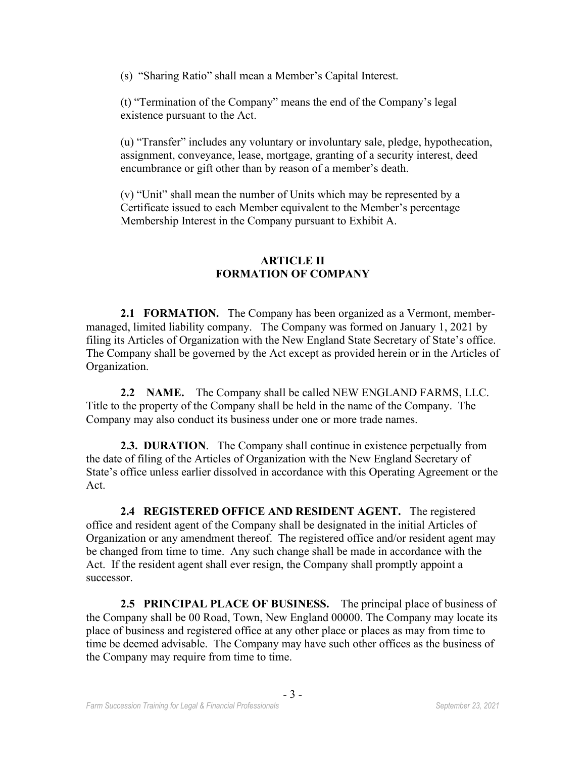(s) "Sharing Ratio" shall mean a Member's Capital Interest.

(t) "Termination of the Company" means the end of the Company's legal existence pursuant to the Act.

(u) "Transfer" includes any voluntary or involuntary sale, pledge, hypothecation, assignment, conveyance, lease, mortgage, granting of a security interest, deed encumbrance or gift other than by reason of a member's death.

(v) "Unit" shall mean the number of Units which may be represented by a Certificate issued to each Member equivalent to the Member's percentage Membership Interest in the Company pursuant to Exhibit A.

### **ARTICLE II FORMATION OF COMPANY**

**2.1 FORMATION.** The Company has been organized as a Vermont, membermanaged, limited liability company. The Company was formed on January 1, 2021 by filing its Articles of Organization with the New England State Secretary of State's office. The Company shall be governed by the Act except as provided herein or in the Articles of Organization.

**2.2 NAME.** The Company shall be called NEW ENGLAND FARMS, LLC. Title to the property of the Company shall be held in the name of the Company. The Company may also conduct its business under one or more trade names.

**2.3. DURATION**. The Company shall continue in existence perpetually from the date of filing of the Articles of Organization with the New England Secretary of State's office unless earlier dissolved in accordance with this Operating Agreement or the Act.

**2.4 REGISTERED OFFICE AND RESIDENT AGENT.** The registered office and resident agent of the Company shall be designated in the initial Articles of Organization or any amendment thereof. The registered office and/or resident agent may be changed from time to time. Any such change shall be made in accordance with the Act. If the resident agent shall ever resign, the Company shall promptly appoint a successor.

**2.5 PRINCIPAL PLACE OF BUSINESS.** The principal place of business of the Company shall be 00 Road, Town, New England 00000. The Company may locate its place of business and registered office at any other place or places as may from time to time be deemed advisable. The Company may have such other offices as the business of the Company may require from time to time.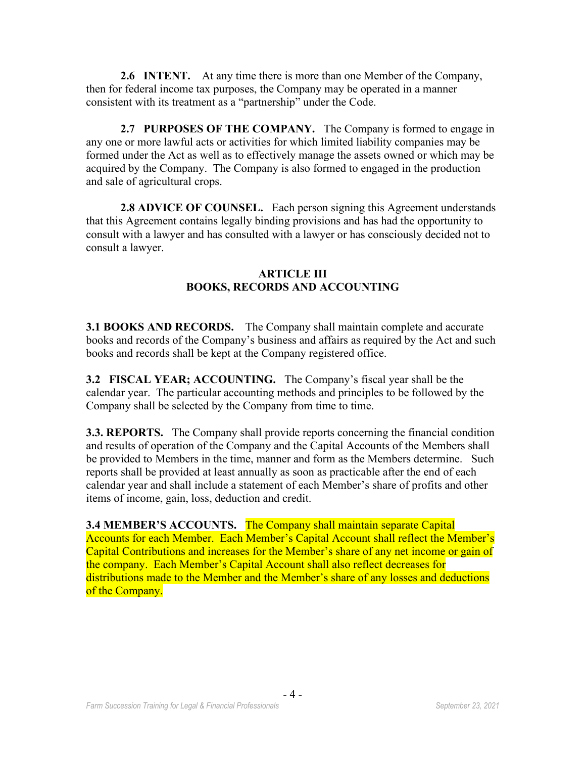**2.6 INTENT.** At any time there is more than one Member of the Company, then for federal income tax purposes, the Company may be operated in a manner consistent with its treatment as a "partnership" under the Code.

**2.7 PURPOSES OF THE COMPANY.** The Company is formed to engage in any one or more lawful acts or activities for which limited liability companies may be formed under the Act as well as to effectively manage the assets owned or which may be acquired by the Company. The Company is also formed to engaged in the production and sale of agricultural crops.

**2.8 ADVICE OF COUNSEL.** Each person signing this Agreement understands that this Agreement contains legally binding provisions and has had the opportunity to consult with a lawyer and has consulted with a lawyer or has consciously decided not to consult a lawyer.

#### **ARTICLE III BOOKS, RECORDS AND ACCOUNTING**

**3.1 BOOKS AND RECORDS.** The Company shall maintain complete and accurate books and records of the Company's business and affairs as required by the Act and such books and records shall be kept at the Company registered office.

**3.2 FISCAL YEAR; ACCOUNTING.** The Company's fiscal year shall be the calendar year. The particular accounting methods and principles to be followed by the Company shall be selected by the Company from time to time.

**3.3. REPORTS.** The Company shall provide reports concerning the financial condition and results of operation of the Company and the Capital Accounts of the Members shall be provided to Members in the time, manner and form as the Members determine. Such reports shall be provided at least annually as soon as practicable after the end of each calendar year and shall include a statement of each Member's share of profits and other items of income, gain, loss, deduction and credit.

**3.4 MEMBER'S ACCOUNTS.** The Company shall maintain separate Capital Accounts for each Member. Each Member's Capital Account shall reflect the Member's Capital Contributions and increases for the Member's share of any net income or gain of the company. Each Member's Capital Account shall also reflect decreases for distributions made to the Member and the Member's share of any losses and deductions of the Company.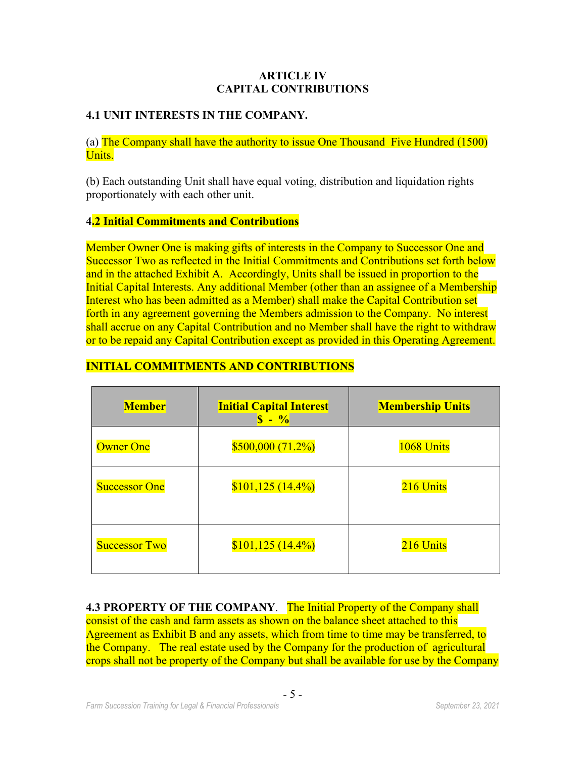#### **ARTICLE IV CAPITAL CONTRIBUTIONS**

## **4.1 UNIT INTERESTS IN THE COMPANY.**

(a) The Company shall have the authority to issue One Thousand Five Hundred (1500) Units.

(b) Each outstanding Unit shall have equal voting, distribution and liquidation rights proportionately with each other unit.

### **4.2 Initial Commitments and Contributions**

Member Owner One is making gifts of interests in the Company to Successor One and Successor Two as reflected in the Initial Commitments and Contributions set forth below and in the attached Exhibit A. Accordingly, Units shall be issued in proportion to the Initial Capital Interests. Any additional Member (other than an assignee of a Membership Interest who has been admitted as a Member) shall make the Capital Contribution set forth in any agreement governing the Members admission to the Company. No interest shall accrue on any Capital Contribution and no Member shall have the right to withdraw or to be repaid any Capital Contribution except as provided in this Operating Agreement.

| <b>Member</b>        | <b>Initial Capital Interest</b><br>$S - \%$ | <b>Membership Units</b> |
|----------------------|---------------------------------------------|-------------------------|
| <b>Owner One</b>     | \$500,000 (71.2%)                           | 1068 Units              |
| <b>Successor One</b> | $$101,125(14.4\%)$                          | 216 Units               |
| <b>Successor Two</b> | $$101,125(14.4\%)$                          | 216 Units               |

## **INITIAL COMMITMENTS AND CONTRIBUTIONS**

**4.3 PROPERTY OF THE COMPANY**. The Initial Property of the Company shall consist of the cash and farm assets as shown on the balance sheet attached to this Agreement as Exhibit B and any assets, which from time to time may be transferred, to the Company. The real estate used by the Company for the production of agricultural crops shall not be property of the Company but shall be available for use by the Company

- 5 -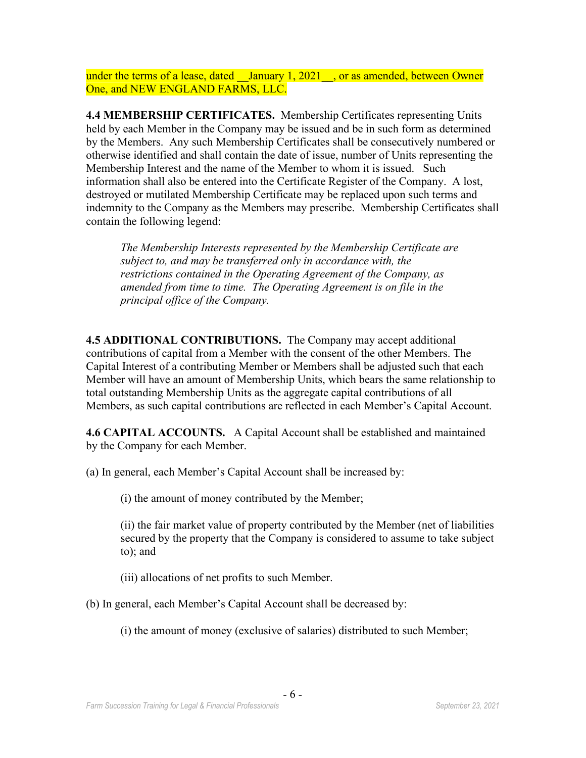under the terms of a lease, dated January 1, 2021  $\alpha$ , or as amended, between Owner One, and NEW ENGLAND FARMS, LLC.

**4.4 MEMBERSHIP CERTIFICATES.** Membership Certificates representing Units held by each Member in the Company may be issued and be in such form as determined by the Members. Any such Membership Certificates shall be consecutively numbered or otherwise identified and shall contain the date of issue, number of Units representing the Membership Interest and the name of the Member to whom it is issued. Such information shall also be entered into the Certificate Register of the Company. A lost, destroyed or mutilated Membership Certificate may be replaced upon such terms and indemnity to the Company as the Members may prescribe. Membership Certificates shall contain the following legend:

*The Membership Interests represented by the Membership Certificate are subject to, and may be transferred only in accordance with, the restrictions contained in the Operating Agreement of the Company, as amended from time to time. The Operating Agreement is on file in the principal office of the Company.* 

**4.5 ADDITIONAL CONTRIBUTIONS.** The Company may accept additional contributions of capital from a Member with the consent of the other Members. The Capital Interest of a contributing Member or Members shall be adjusted such that each Member will have an amount of Membership Units, which bears the same relationship to total outstanding Membership Units as the aggregate capital contributions of all Members, as such capital contributions are reflected in each Member's Capital Account.

**4.6 CAPITAL ACCOUNTS.** A Capital Account shall be established and maintained by the Company for each Member.

(a) In general, each Member's Capital Account shall be increased by:

(i) the amount of money contributed by the Member;

(ii) the fair market value of property contributed by the Member (net of liabilities secured by the property that the Company is considered to assume to take subject to); and

(iii) allocations of net profits to such Member.

(b) In general, each Member's Capital Account shall be decreased by:

(i) the amount of money (exclusive of salaries) distributed to such Member;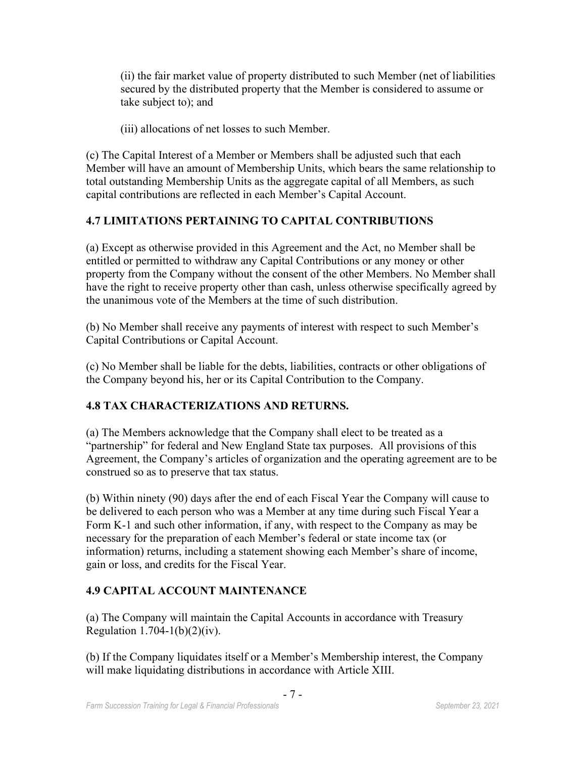(ii) the fair market value of property distributed to such Member (net of liabilities secured by the distributed property that the Member is considered to assume or take subject to); and

(iii) allocations of net losses to such Member.

(c) The Capital Interest of a Member or Members shall be adjusted such that each Member will have an amount of Membership Units, which bears the same relationship to total outstanding Membership Units as the aggregate capital of all Members, as such capital contributions are reflected in each Member's Capital Account.

## **4.7 LIMITATIONS PERTAINING TO CAPITAL CONTRIBUTIONS**

(a) Except as otherwise provided in this Agreement and the Act, no Member shall be entitled or permitted to withdraw any Capital Contributions or any money or other property from the Company without the consent of the other Members. No Member shall have the right to receive property other than cash, unless otherwise specifically agreed by the unanimous vote of the Members at the time of such distribution.

(b) No Member shall receive any payments of interest with respect to such Member's Capital Contributions or Capital Account.

(c) No Member shall be liable for the debts, liabilities, contracts or other obligations of the Company beyond his, her or its Capital Contribution to the Company.

## **4.8 TAX CHARACTERIZATIONS AND RETURNS.**

(a) The Members acknowledge that the Company shall elect to be treated as a "partnership" for federal and New England State tax purposes. All provisions of this Agreement, the Company's articles of organization and the operating agreement are to be construed so as to preserve that tax status.

(b) Within ninety (90) days after the end of each Fiscal Year the Company will cause to be delivered to each person who was a Member at any time during such Fiscal Year a Form K-1 and such other information, if any, with respect to the Company as may be necessary for the preparation of each Member's federal or state income tax (or information) returns, including a statement showing each Member's share of income, gain or loss, and credits for the Fiscal Year.

## **4.9 CAPITAL ACCOUNT MAINTENANCE**

(a) The Company will maintain the Capital Accounts in accordance with Treasury Regulation 1.704-1(b)(2)(iv).

(b) If the Company liquidates itself or a Member's Membership interest, the Company will make liquidating distributions in accordance with Article XIII.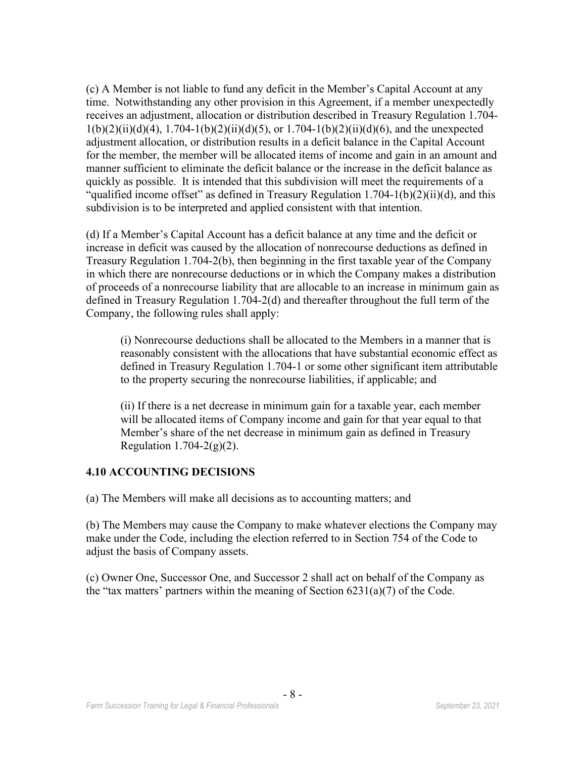(c) A Member is not liable to fund any deficit in the Member's Capital Account at any time. Notwithstanding any other provision in this Agreement, if a member unexpectedly receives an adjustment, allocation or distribution described in Treasury Regulation 1.704-  $1(b)(2)(ii)(d)(4)$ ,  $1.704-1(b)(2)(ii)(d)(5)$ , or  $1.704-1(b)(2)(ii)(d)(6)$ , and the unexpected adjustment allocation, or distribution results in a deficit balance in the Capital Account for the member, the member will be allocated items of income and gain in an amount and manner sufficient to eliminate the deficit balance or the increase in the deficit balance as quickly as possible. It is intended that this subdivision will meet the requirements of a "qualified income offset" as defined in Treasury Regulation 1.704-1(b)(2)(ii)(d), and this subdivision is to be interpreted and applied consistent with that intention.

(d) If a Member's Capital Account has a deficit balance at any time and the deficit or increase in deficit was caused by the allocation of nonrecourse deductions as defined in Treasury Regulation 1.704-2(b), then beginning in the first taxable year of the Company in which there are nonrecourse deductions or in which the Company makes a distribution of proceeds of a nonrecourse liability that are allocable to an increase in minimum gain as defined in Treasury Regulation 1.704-2(d) and thereafter throughout the full term of the Company, the following rules shall apply:

(i) Nonrecourse deductions shall be allocated to the Members in a manner that is reasonably consistent with the allocations that have substantial economic effect as defined in Treasury Regulation 1.704-1 or some other significant item attributable to the property securing the nonrecourse liabilities, if applicable; and

(ii) If there is a net decrease in minimum gain for a taxable year, each member will be allocated items of Company income and gain for that year equal to that Member's share of the net decrease in minimum gain as defined in Treasury Regulation  $1.704-2(g)(2)$ .

## **4.10 ACCOUNTING DECISIONS**

(a) The Members will make all decisions as to accounting matters; and

(b) The Members may cause the Company to make whatever elections the Company may make under the Code, including the election referred to in Section 754 of the Code to adjust the basis of Company assets.

(c) Owner One, Successor One, and Successor 2 shall act on behalf of the Company as the "tax matters" partners within the meaning of Section  $6231(a)(7)$  of the Code.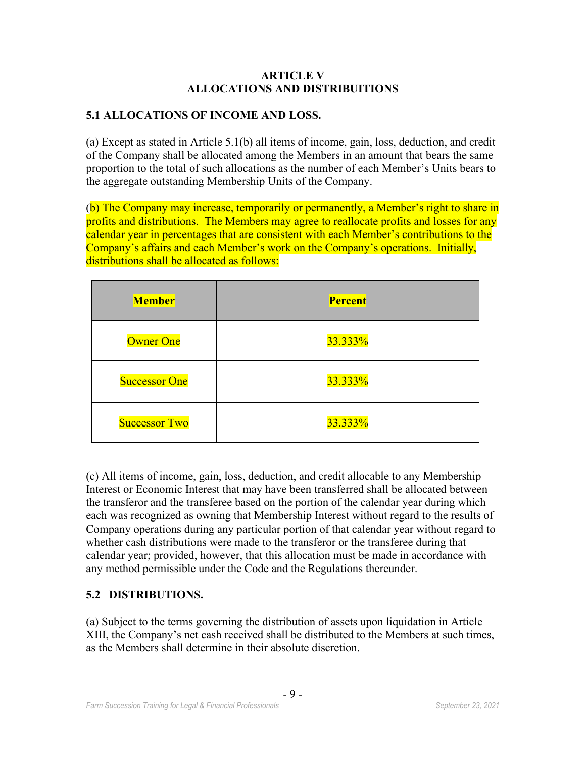#### **ARTICLE V ALLOCATIONS AND DISTRIBUITIONS**

### **5.1 ALLOCATIONS OF INCOME AND LOSS.**

(a) Except as stated in Article 5.1(b) all items of income, gain, loss, deduction, and credit of the Company shall be allocated among the Members in an amount that bears the same proportion to the total of such allocations as the number of each Member's Units bears to the aggregate outstanding Membership Units of the Company.

(b) The Company may increase, temporarily or permanently, a Member's right to share in profits and distributions. The Members may agree to reallocate profits and losses for any calendar year in percentages that are consistent with each Member's contributions to the Company's affairs and each Member's work on the Company's operations. Initially, distributions shall be allocated as follows:

| <b>Member</b>        | <b>Percent</b> |
|----------------------|----------------|
| <b>Owner One</b>     | 33.333%        |
| <b>Successor One</b> | 33.333%        |
| <b>Successor Two</b> | 33.333%        |

(c) All items of income, gain, loss, deduction, and credit allocable to any Membership Interest or Economic Interest that may have been transferred shall be allocated between the transferor and the transferee based on the portion of the calendar year during which each was recognized as owning that Membership Interest without regard to the results of Company operations during any particular portion of that calendar year without regard to whether cash distributions were made to the transferor or the transferee during that calendar year; provided, however, that this allocation must be made in accordance with any method permissible under the Code and the Regulations thereunder.

## **5.2 DISTRIBUTIONS.**

(a) Subject to the terms governing the distribution of assets upon liquidation in Article XIII, the Company's net cash received shall be distributed to the Members at such times, as the Members shall determine in their absolute discretion.

- 9 -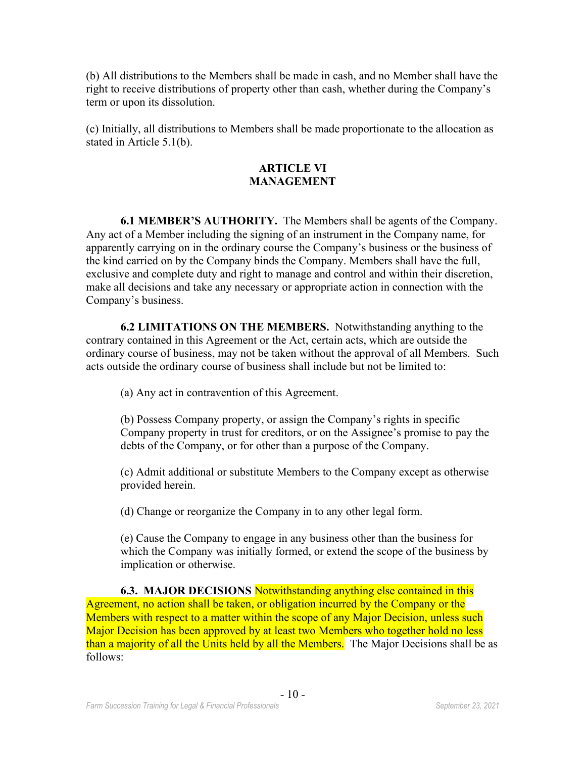(b) All distributions to the Members shall be made in cash, and no Member shall have the right to receive distributions of property other than cash, whether during the Company's term or upon its dissolution.

(c) Initially, all distributions to Members shall be made proportionate to the allocation as stated in Article 5.1(b).

### **ARTICLE VI MANAGEMENT**

**6.1 MEMBER'S AUTHORITY.** The Members shall be agents of the Company. Any act of a Member including the signing of an instrument in the Company name, for apparently carrying on in the ordinary course the Company's business or the business of the kind carried on by the Company binds the Company. Members shall have the full, exclusive and complete duty and right to manage and control and within their discretion, make all decisions and take any necessary or appropriate action in connection with the Company's business.

**6.2 LIMITATIONS ON THE MEMBERS.** Notwithstanding anything to the contrary contained in this Agreement or the Act, certain acts, which are outside the ordinary course of business, may not be taken without the approval of all Members. Such acts outside the ordinary course of business shall include but not be limited to:

(a) Any act in contravention of this Agreement.

(b) Possess Company property, or assign the Company's rights in specific Company property in trust for creditors, or on the Assignee's promise to pay the debts of the Company, or for other than a purpose of the Company.

(c) Admit additional or substitute Members to the Company except as otherwise provided herein.

(d) Change or reorganize the Company in to any other legal form.

(e) Cause the Company to engage in any business other than the business for which the Company was initially formed, or extend the scope of the business by implication or otherwise.

**6.3. MAJOR DECISIONS** Notwithstanding anything else contained in this Agreement, no action shall be taken, or obligation incurred by the Company or the Members with respect to a matter within the scope of any Major Decision, unless such Major Decision has been approved by at least two Members who together hold no less than a majority of all the Units held by all the Members. The Major Decisions shall be as follows: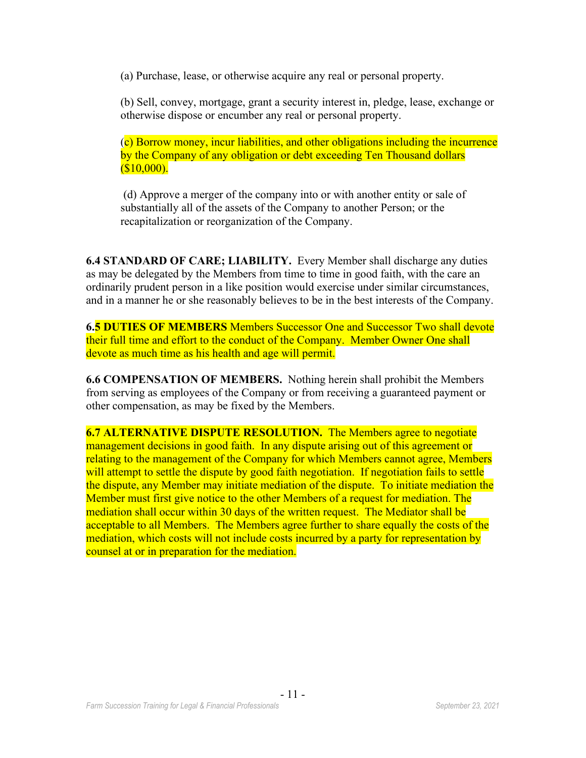(a) Purchase, lease, or otherwise acquire any real or personal property.

(b) Sell, convey, mortgage, grant a security interest in, pledge, lease, exchange or otherwise dispose or encumber any real or personal property.

(c) Borrow money, incur liabilities, and other obligations including the incurrence by the Company of any obligation or debt exceeding Ten Thousand dollars  $$10,000$ ).

(d) Approve a merger of the company into or with another entity or sale of substantially all of the assets of the Company to another Person; or the recapitalization or reorganization of the Company.

**6.4 STANDARD OF CARE; LIABILITY.** Every Member shall discharge any duties as may be delegated by the Members from time to time in good faith, with the care an ordinarily prudent person in a like position would exercise under similar circumstances, and in a manner he or she reasonably believes to be in the best interests of the Company.

**6.5 DUTIES OF MEMBERS** Members Successor One and Successor Two shall devote their full time and effort to the conduct of the Company. Member Owner One shall devote as much time as his health and age will permit.

**6.6 COMPENSATION OF MEMBERS.** Nothing herein shall prohibit the Members from serving as employees of the Company or from receiving a guaranteed payment or other compensation, as may be fixed by the Members.

**6.7 ALTERNATIVE DISPUTE RESOLUTION.** The Members agree to negotiate management decisions in good faith. In any dispute arising out of this agreement or relating to the management of the Company for which Members cannot agree, Members will attempt to settle the dispute by good faith negotiation. If negotiation fails to settle the dispute, any Member may initiate mediation of the dispute. To initiate mediation the Member must first give notice to the other Members of a request for mediation. The mediation shall occur within 30 days of the written request. The Mediator shall be acceptable to all Members. The Members agree further to share equally the costs of the mediation, which costs will not include costs incurred by a party for representation by counsel at or in preparation for the mediation.

- 11 -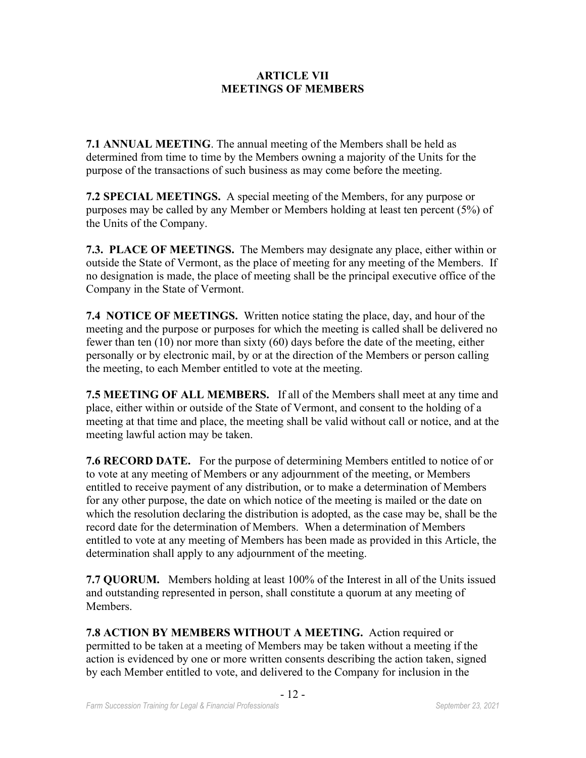### **ARTICLE VII MEETINGS OF MEMBERS**

**7.1 ANNUAL MEETING**. The annual meeting of the Members shall be held as determined from time to time by the Members owning a majority of the Units for the purpose of the transactions of such business as may come before the meeting.

**7.2 SPECIAL MEETINGS.** A special meeting of the Members, for any purpose or purposes may be called by any Member or Members holding at least ten percent (5%) of the Units of the Company.

**7.3. PLACE OF MEETINGS.** The Members may designate any place, either within or outside the State of Vermont, as the place of meeting for any meeting of the Members. If no designation is made, the place of meeting shall be the principal executive office of the Company in the State of Vermont.

**7.4 NOTICE OF MEETINGS.** Written notice stating the place, day, and hour of the meeting and the purpose or purposes for which the meeting is called shall be delivered no fewer than ten (10) nor more than sixty (60) days before the date of the meeting, either personally or by electronic mail, by or at the direction of the Members or person calling the meeting, to each Member entitled to vote at the meeting.

**7.5 MEETING OF ALL MEMBERS.** If all of the Members shall meet at any time and place, either within or outside of the State of Vermont, and consent to the holding of a meeting at that time and place, the meeting shall be valid without call or notice, and at the meeting lawful action may be taken.

**7.6 RECORD DATE.** For the purpose of determining Members entitled to notice of or to vote at any meeting of Members or any adjournment of the meeting, or Members entitled to receive payment of any distribution, or to make a determination of Members for any other purpose, the date on which notice of the meeting is mailed or the date on which the resolution declaring the distribution is adopted, as the case may be, shall be the record date for the determination of Members. When a determination of Members entitled to vote at any meeting of Members has been made as provided in this Article, the determination shall apply to any adjournment of the meeting.

**7.7 QUORUM.** Members holding at least 100% of the Interest in all of the Units issued and outstanding represented in person, shall constitute a quorum at any meeting of Members.

**7.8 ACTION BY MEMBERS WITHOUT A MEETING.** Action required or permitted to be taken at a meeting of Members may be taken without a meeting if the action is evidenced by one or more written consents describing the action taken, signed by each Member entitled to vote, and delivered to the Company for inclusion in the

 $-12-$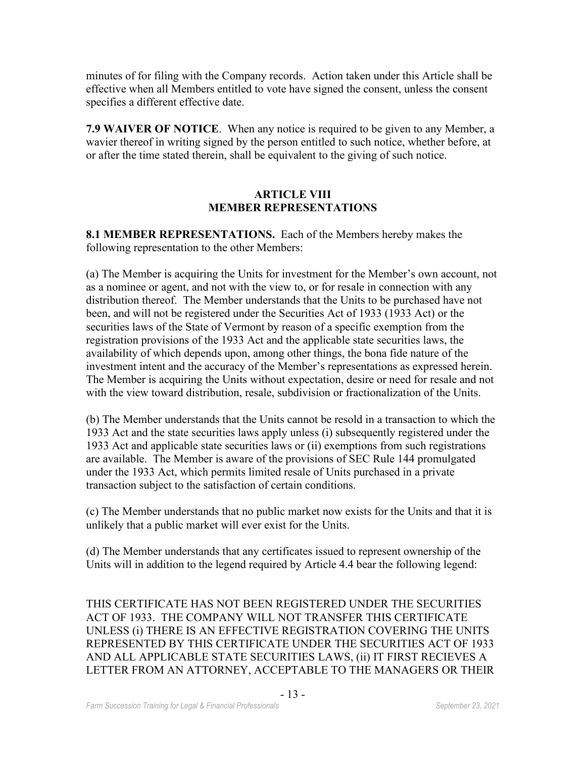minutes of for filing with the Company records. Action taken under this Article shall be effective when all Members entitled to vote have signed the consent, unless the consent specifies a different effective date.

**7.9 WAIVER OF NOTICE**. When any notice is required to be given to any Member, a wavier thereof in writing signed by the person entitled to such notice, whether before, at or after the time stated therein, shall be equivalent to the giving of such notice.

### **ARTICLE VIII MEMBER REPRESENTATIONS**

**8.1 MEMBER REPRESENTATIONS.** Each of the Members hereby makes the following representation to the other Members:

(a) The Member is acquiring the Units for investment for the Member's own account, not as a nominee or agent, and not with the view to, or for resale in connection with any distribution thereof. The Member understands that the Units to be purchased have not been, and will not be registered under the Securities Act of 1933 (1933 Act) or the securities laws of the State of Vermont by reason of a specific exemption from the registration provisions of the 1933 Act and the applicable state securities laws, the availability of which depends upon, among other things, the bona fide nature of the investment intent and the accuracy of the Member's representations as expressed herein. The Member is acquiring the Units without expectation, desire or need for resale and not with the view toward distribution, resale, subdivision or fractionalization of the Units.

(b) The Member understands that the Units cannot be resold in a transaction to which the 1933 Act and the state securities laws apply unless (i) subsequently registered under the 1933 Act and applicable state securities laws or (ii) exemptions from such registrations are available. The Member is aware of the provisions of SEC Rule 144 promulgated under the 1933 Act, which permits limited resale of Units purchased in a private transaction subject to the satisfaction of certain conditions.

(c) The Member understands that no public market now exists for the Units and that it is unlikely that a public market will ever exist for the Units.

(d) The Member understands that any certificates issued to represent ownership of the Units will in addition to the legend required by Article 4.4 bear the following legend:

THIS CERTIFICATE HAS NOT BEEN REGISTERED UNDER THE SECURITIES ACT OF 1933. THE COMPANY WILL NOT TRANSFER THIS CERTIFICATE UNLESS (i) THERE IS AN EFFECTIVE REGISTRATION COVERING THE UNITS REPRESENTED BY THIS CERTIFICATE UNDER THE SECURITIES ACT OF 1933 AND ALL APPLICABLE STATE SECURITIES LAWS, (ii) IT FIRST RECIEVES A LETTER FROM AN ATTORNEY, ACCEPTABLE TO THE MANAGERS OR THEIR

- 13 -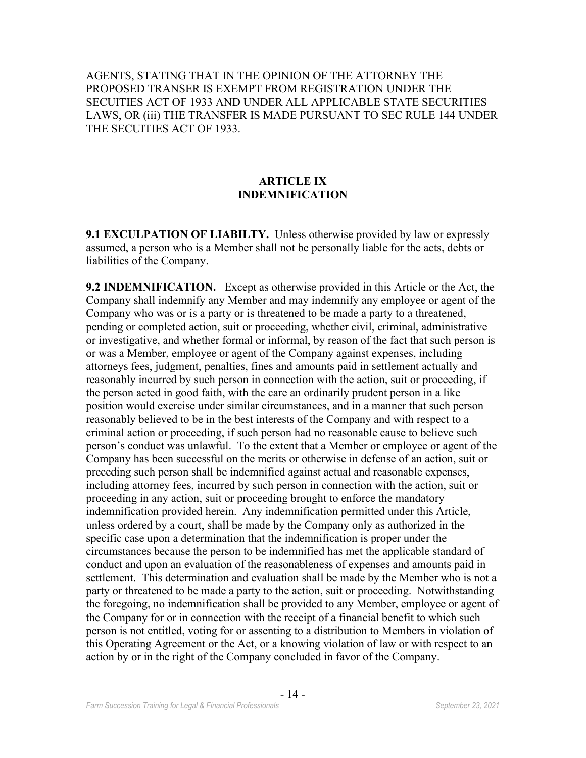AGENTS, STATING THAT IN THE OPINION OF THE ATTORNEY THE PROPOSED TRANSER IS EXEMPT FROM REGISTRATION UNDER THE SECUITIES ACT OF 1933 AND UNDER ALL APPLICABLE STATE SECURITIES LAWS, OR (iii) THE TRANSFER IS MADE PURSUANT TO SEC RULE 144 UNDER THE SECUITIES ACT OF 1933.

#### **ARTICLE IX INDEMNIFICATION**

**9.1 EXCULPATION OF LIABILTY.** Unless otherwise provided by law or expressly assumed, a person who is a Member shall not be personally liable for the acts, debts or liabilities of the Company.

**9.2 INDEMNIFICATION.** Except as otherwise provided in this Article or the Act, the Company shall indemnify any Member and may indemnify any employee or agent of the Company who was or is a party or is threatened to be made a party to a threatened, pending or completed action, suit or proceeding, whether civil, criminal, administrative or investigative, and whether formal or informal, by reason of the fact that such person is or was a Member, employee or agent of the Company against expenses, including attorneys fees, judgment, penalties, fines and amounts paid in settlement actually and reasonably incurred by such person in connection with the action, suit or proceeding, if the person acted in good faith, with the care an ordinarily prudent person in a like position would exercise under similar circumstances, and in a manner that such person reasonably believed to be in the best interests of the Company and with respect to a criminal action or proceeding, if such person had no reasonable cause to believe such person's conduct was unlawful. To the extent that a Member or employee or agent of the Company has been successful on the merits or otherwise in defense of an action, suit or preceding such person shall be indemnified against actual and reasonable expenses, including attorney fees, incurred by such person in connection with the action, suit or proceeding in any action, suit or proceeding brought to enforce the mandatory indemnification provided herein. Any indemnification permitted under this Article, unless ordered by a court, shall be made by the Company only as authorized in the specific case upon a determination that the indemnification is proper under the circumstances because the person to be indemnified has met the applicable standard of conduct and upon an evaluation of the reasonableness of expenses and amounts paid in settlement. This determination and evaluation shall be made by the Member who is not a party or threatened to be made a party to the action, suit or proceeding. Notwithstanding the foregoing, no indemnification shall be provided to any Member, employee or agent of the Company for or in connection with the receipt of a financial benefit to which such person is not entitled, voting for or assenting to a distribution to Members in violation of this Operating Agreement or the Act, or a knowing violation of law or with respect to an action by or in the right of the Company concluded in favor of the Company.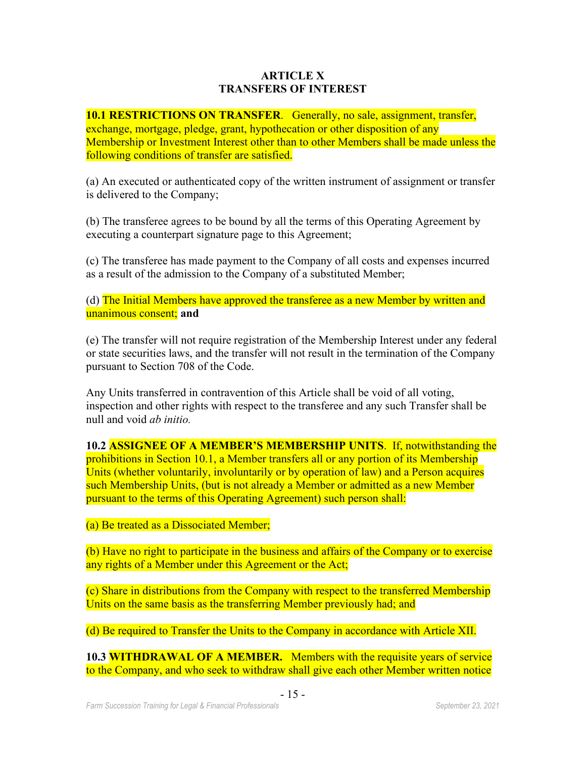#### **ARTICLE X TRANSFERS OF INTEREST**

**10.1 RESTRICTIONS ON TRANSFER**. Generally, no sale, assignment, transfer, exchange, mortgage, pledge, grant, hypothecation or other disposition of any Membership or Investment Interest other than to other Members shall be made unless the following conditions of transfer are satisfied.

(a) An executed or authenticated copy of the written instrument of assignment or transfer is delivered to the Company;

(b) The transferee agrees to be bound by all the terms of this Operating Agreement by executing a counterpart signature page to this Agreement;

(c) The transferee has made payment to the Company of all costs and expenses incurred as a result of the admission to the Company of a substituted Member;

(d) The Initial Members have approved the transferee as a new Member by written and unanimous consent; **and**

(e) The transfer will not require registration of the Membership Interest under any federal or state securities laws, and the transfer will not result in the termination of the Company pursuant to Section 708 of the Code.

Any Units transferred in contravention of this Article shall be void of all voting, inspection and other rights with respect to the transferee and any such Transfer shall be null and void *ab initio.* 

**10.2 ASSIGNEE OF A MEMBER'S MEMBERSHIP UNITS**. If, notwithstanding the prohibitions in Section 10.1, a Member transfers all or any portion of its Membership Units (whether voluntarily, involuntarily or by operation of law) and a Person acquires such Membership Units, (but is not already a Member or admitted as a new Member pursuant to the terms of this Operating Agreement) such person shall:

(a) Be treated as a Dissociated Member;

(b) Have no right to participate in the business and affairs of the Company or to exercise any rights of a Member under this Agreement or the Act;

(c) Share in distributions from the Company with respect to the transferred Membership Units on the same basis as the transferring Member previously had; and

(d) Be required to Transfer the Units to the Company in accordance with Article XII.

**10.3 WITHDRAWAL OF A MEMBER.** Members with the requisite years of service to the Company, and who seek to withdraw shall give each other Member written notice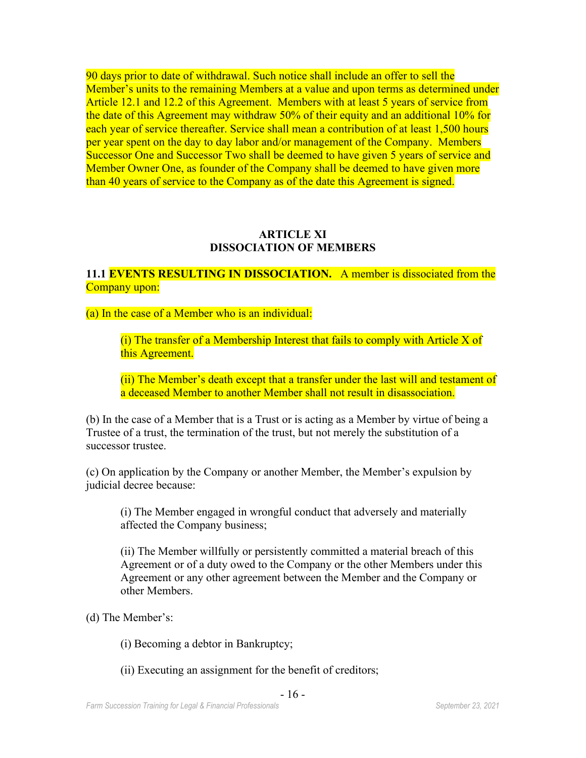90 days prior to date of withdrawal. Such notice shall include an offer to sell the Member's units to the remaining Members at a value and upon terms as determined under Article 12.1 and 12.2 of this Agreement. Members with at least 5 years of service from the date of this Agreement may withdraw 50% of their equity and an additional 10% for each year of service thereafter. Service shall mean a contribution of at least 1,500 hours per year spent on the day to day labor and/or management of the Company. Members Successor One and Successor Two shall be deemed to have given 5 years of service and Member Owner One, as founder of the Company shall be deemed to have given more than 40 years of service to the Company as of the date this Agreement is signed.

#### **ARTICLE XI DISSOCIATION OF MEMBERS**

#### **11.1 EVENTS RESULTING IN DISSOCIATION.** A member is dissociated from the Company upon:

(a) In the case of a Member who is an individual:

(i) The transfer of a Membership Interest that fails to comply with Article X of this Agreement.

(ii) The Member's death except that a transfer under the last will and testament of a deceased Member to another Member shall not result in disassociation.

(b) In the case of a Member that is a Trust or is acting as a Member by virtue of being a Trustee of a trust, the termination of the trust, but not merely the substitution of a successor trustee.

(c) On application by the Company or another Member, the Member's expulsion by judicial decree because:

(i) The Member engaged in wrongful conduct that adversely and materially affected the Company business;

(ii) The Member willfully or persistently committed a material breach of this Agreement or of a duty owed to the Company or the other Members under this Agreement or any other agreement between the Member and the Company or other Members.

(d) The Member's:

(i) Becoming a debtor in Bankruptcy;

(ii) Executing an assignment for the benefit of creditors;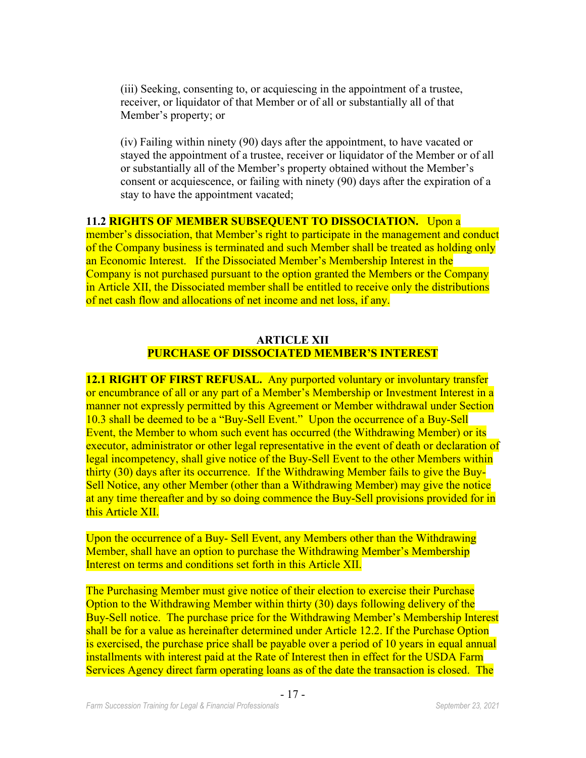(iii) Seeking, consenting to, or acquiescing in the appointment of a trustee, receiver, or liquidator of that Member or of all or substantially all of that Member's property; or

(iv) Failing within ninety (90) days after the appointment, to have vacated or stayed the appointment of a trustee, receiver or liquidator of the Member or of all or substantially all of the Member's property obtained without the Member's consent or acquiescence, or failing with ninety (90) days after the expiration of a stay to have the appointment vacated;

#### **11.2 RIGHTS OF MEMBER SUBSEQUENT TO DISSOCIATION.** Upon a

member's dissociation, that Member's right to participate in the management and conduct of the Company business is terminated and such Member shall be treated as holding only an Economic Interest. If the Dissociated Member's Membership Interest in the Company is not purchased pursuant to the option granted the Members or the Company in Article XII, the Dissociated member shall be entitled to receive only the distributions of net cash flow and allocations of net income and net loss, if any.

#### **ARTICLE XII PURCHASE OF DISSOCIATED MEMBER'S INTEREST**

**12.1 RIGHT OF FIRST REFUSAL.** Any purported voluntary or involuntary transfer or encumbrance of all or any part of a Member's Membership or Investment Interest in a manner not expressly permitted by this Agreement or Member withdrawal under Section 10.3 shall be deemed to be a "Buy-Sell Event." Upon the occurrence of a Buy-Sell Event, the Member to whom such event has occurred (the Withdrawing Member) or its executor, administrator or other legal representative in the event of death or declaration of legal incompetency, shall give notice of the Buy-Sell Event to the other Members within thirty (30) days after its occurrence. If the Withdrawing Member fails to give the Buy-Sell Notice, any other Member (other than a Withdrawing Member) may give the notice at any time thereafter and by so doing commence the Buy-Sell provisions provided for in this Article XII.

Upon the occurrence of a Buy- Sell Event, any Members other than the Withdrawing Member, shall have an option to purchase the Withdrawing Member's Membership Interest on terms and conditions set forth in this Article XII.

The Purchasing Member must give notice of their election to exercise their Purchase Option to the Withdrawing Member within thirty (30) days following delivery of the Buy-Sell notice. The purchase price for the Withdrawing Member's Membership Interest shall be for a value as hereinafter determined under Article 12.2. If the Purchase Option is exercised, the purchase price shall be payable over a period of 10 years in equal annual installments with interest paid at the Rate of Interest then in effect for the USDA Farm Services Agency direct farm operating loans as of the date the transaction is closed. The

- 17 -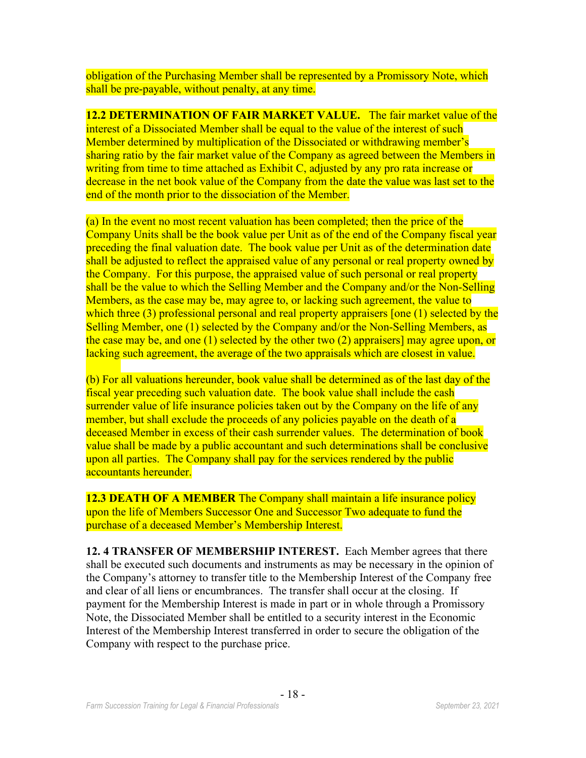obligation of the Purchasing Member shall be represented by a Promissory Note, which shall be pre-payable, without penalty, at any time.

**12.2 DETERMINATION OF FAIR MARKET VALUE.** The fair market value of the interest of a Dissociated Member shall be equal to the value of the interest of such Member determined by multiplication of the Dissociated or withdrawing member's sharing ratio by the fair market value of the Company as agreed between the Members in writing from time to time attached as Exhibit C, adjusted by any pro rata increase or decrease in the net book value of the Company from the date the value was last set to the end of the month prior to the dissociation of the Member.

(a) In the event no most recent valuation has been completed; then the price of the Company Units shall be the book value per Unit as of the end of the Company fiscal year preceding the final valuation date. The book value per Unit as of the determination date shall be adjusted to reflect the appraised value of any personal or real property owned by the Company. For this purpose, the appraised value of such personal or real property shall be the value to which the Selling Member and the Company and/or the Non-Selling Members, as the case may be, may agree to, or lacking such agreement, the value to which three (3) professional personal and real property appraisers [one (1) selected by the Selling Member, one (1) selected by the Company and/or the Non-Selling Members, as the case may be, and one (1) selected by the other two (2) appraisers] may agree upon, or lacking such agreement, the average of the two appraisals which are closest in value.

(b) For all valuations hereunder, book value shall be determined as of the last day of the fiscal year preceding such valuation date. The book value shall include the cash surrender value of life insurance policies taken out by the Company on the life of any member, but shall exclude the proceeds of any policies payable on the death of a deceased Member in excess of their cash surrender values. The determination of book value shall be made by a public accountant and such determinations shall be conclusive upon all parties. The Company shall pay for the services rendered by the public accountants hereunder.

**12.3 DEATH OF A MEMBER** The Company shall maintain a life insurance policy upon the life of Members Successor One and Successor Two adequate to fund the purchase of a deceased Member's Membership Interest.

**12. 4 TRANSFER OF MEMBERSHIP INTEREST.** Each Member agrees that there shall be executed such documents and instruments as may be necessary in the opinion of the Company's attorney to transfer title to the Membership Interest of the Company free and clear of all liens or encumbrances. The transfer shall occur at the closing. If payment for the Membership Interest is made in part or in whole through a Promissory Note, the Dissociated Member shall be entitled to a security interest in the Economic Interest of the Membership Interest transferred in order to secure the obligation of the Company with respect to the purchase price.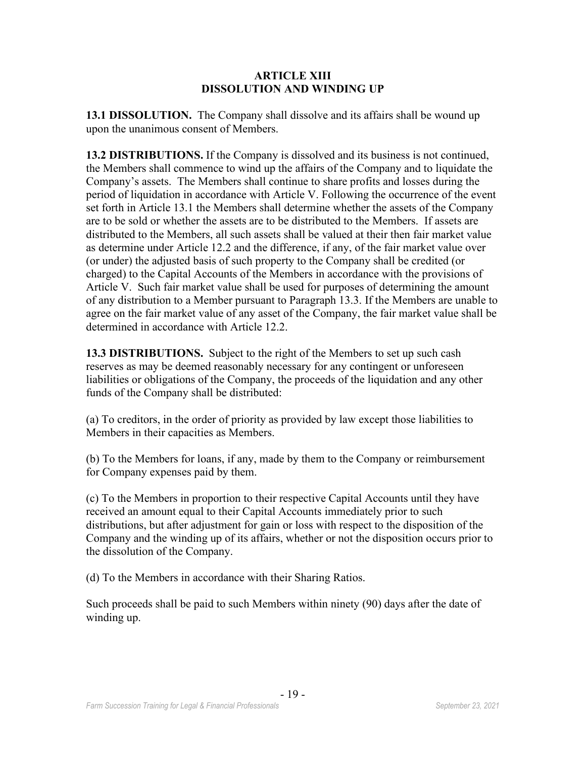#### **ARTICLE XIII DISSOLUTION AND WINDING UP**

13.1 DISSOLUTION. The Company shall dissolve and its affairs shall be wound up upon the unanimous consent of Members.

**13.2 DISTRIBUTIONS.** If the Company is dissolved and its business is not continued, the Members shall commence to wind up the affairs of the Company and to liquidate the Company's assets. The Members shall continue to share profits and losses during the period of liquidation in accordance with Article V. Following the occurrence of the event set forth in Article 13.1 the Members shall determine whether the assets of the Company are to be sold or whether the assets are to be distributed to the Members. If assets are distributed to the Members, all such assets shall be valued at their then fair market value as determine under Article 12.2 and the difference, if any, of the fair market value over (or under) the adjusted basis of such property to the Company shall be credited (or charged) to the Capital Accounts of the Members in accordance with the provisions of Article V. Such fair market value shall be used for purposes of determining the amount of any distribution to a Member pursuant to Paragraph 13.3. If the Members are unable to agree on the fair market value of any asset of the Company, the fair market value shall be determined in accordance with Article 12.2.

**13.3 DISTRIBUTIONS.** Subject to the right of the Members to set up such cash reserves as may be deemed reasonably necessary for any contingent or unforeseen liabilities or obligations of the Company, the proceeds of the liquidation and any other funds of the Company shall be distributed:

(a) To creditors, in the order of priority as provided by law except those liabilities to Members in their capacities as Members.

(b) To the Members for loans, if any, made by them to the Company or reimbursement for Company expenses paid by them.

(c) To the Members in proportion to their respective Capital Accounts until they have received an amount equal to their Capital Accounts immediately prior to such distributions, but after adjustment for gain or loss with respect to the disposition of the Company and the winding up of its affairs, whether or not the disposition occurs prior to the dissolution of the Company.

(d) To the Members in accordance with their Sharing Ratios.

Such proceeds shall be paid to such Members within ninety (90) days after the date of winding up.

- 19 -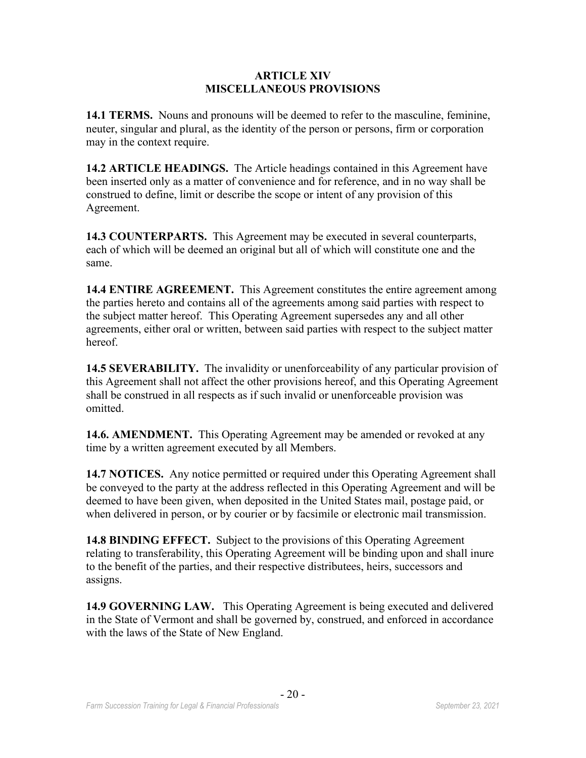#### **ARTICLE XIV MISCELLANEOUS PROVISIONS**

**14.1 TERMS.** Nouns and pronouns will be deemed to refer to the masculine, feminine, neuter, singular and plural, as the identity of the person or persons, firm or corporation may in the context require.

**14.2 ARTICLE HEADINGS.** The Article headings contained in this Agreement have been inserted only as a matter of convenience and for reference, and in no way shall be construed to define, limit or describe the scope or intent of any provision of this Agreement.

**14.3 COUNTERPARTS.** This Agreement may be executed in several counterparts, each of which will be deemed an original but all of which will constitute one and the same.

**14.4 ENTIRE AGREEMENT.** This Agreement constitutes the entire agreement among the parties hereto and contains all of the agreements among said parties with respect to the subject matter hereof. This Operating Agreement supersedes any and all other agreements, either oral or written, between said parties with respect to the subject matter hereof.

**14.5 SEVERABILITY.** The invalidity or unenforceability of any particular provision of this Agreement shall not affect the other provisions hereof, and this Operating Agreement shall be construed in all respects as if such invalid or unenforceable provision was omitted.

**14.6. AMENDMENT.** This Operating Agreement may be amended or revoked at any time by a written agreement executed by all Members.

**14.7 NOTICES.** Any notice permitted or required under this Operating Agreement shall be conveyed to the party at the address reflected in this Operating Agreement and will be deemed to have been given, when deposited in the United States mail, postage paid, or when delivered in person, or by courier or by facsimile or electronic mail transmission.

**14.8 BINDING EFFECT.** Subject to the provisions of this Operating Agreement relating to transferability, this Operating Agreement will be binding upon and shall inure to the benefit of the parties, and their respective distributees, heirs, successors and assigns.

**14.9 GOVERNING LAW.** This Operating Agreement is being executed and delivered in the State of Vermont and shall be governed by, construed, and enforced in accordance with the laws of the State of New England.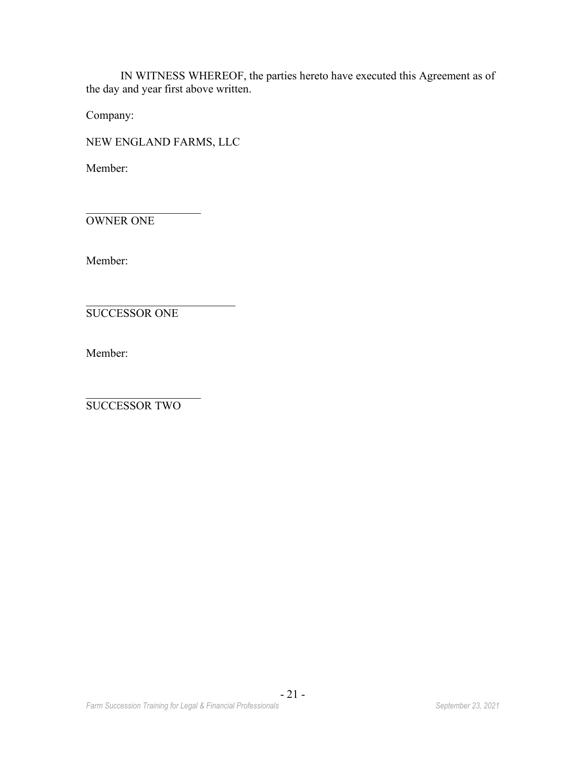IN WITNESS WHEREOF, the parties hereto have executed this Agreement as of the day and year first above written.

Company:

NEW ENGLAND FARMS, LLC

Member:

\_\_\_\_\_\_\_\_\_\_\_\_\_\_\_\_\_\_\_\_ OWNER ONE

Member:

SUCCESSOR ONE

Member:

\_\_\_\_\_\_\_\_\_\_\_\_\_\_\_\_\_\_\_\_ SUCCESSOR TWO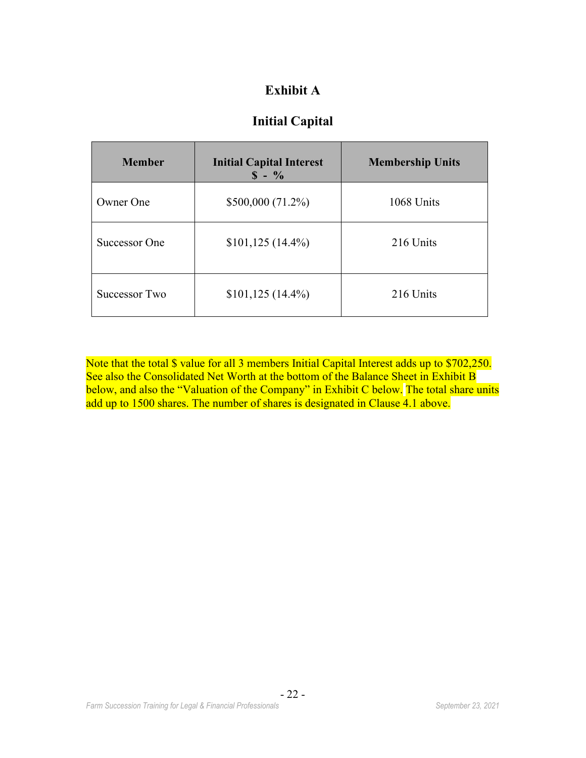## **Exhibit A**

## **Initial Capital**

| <b>Member</b> | <b>Initial Capital Interest</b><br>$\frac{\ }{8} - \frac{9}{6}$ | <b>Membership Units</b> |
|---------------|-----------------------------------------------------------------|-------------------------|
| Owner One     | $$500,000 (71.2\%)$                                             | 1068 Units              |
| Successor One | $$101,125(14.4\%)$                                              | 216 Units               |
| Successor Two | $$101,125(14.4\%)$                                              | 216 Units               |

Note that the total \$ value for all 3 members Initial Capital Interest adds up to \$702,250. See also the Consolidated Net Worth at the bottom of the Balance Sheet in Exhibit B below, and also the "Valuation of the Company" in Exhibit C below. The total share units add up to 1500 shares. The number of shares is designated in Clause 4.1 above.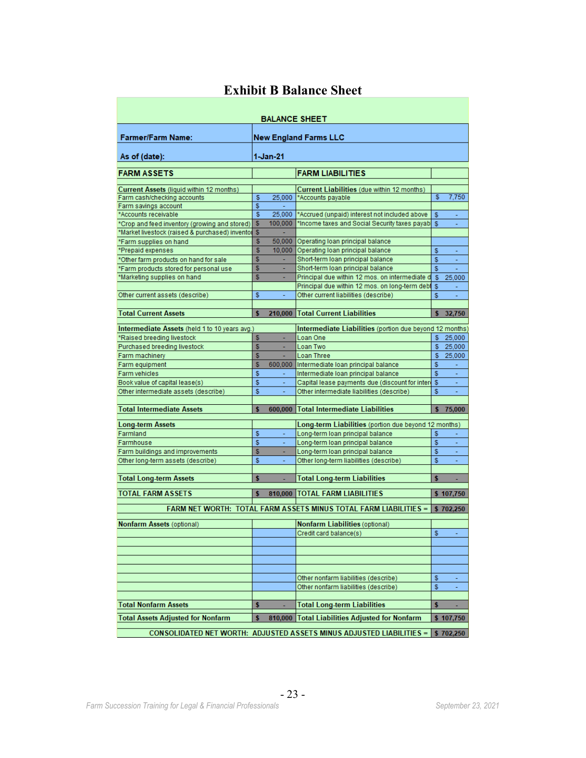| <b>BALANCE SHEET</b>                                                                                       |                               |          |                                                         |              |           |
|------------------------------------------------------------------------------------------------------------|-------------------------------|----------|---------------------------------------------------------|--------------|-----------|
| <b>Farmer/Farm Name:</b><br><b>New England Farms LLC</b>                                                   |                               |          |                                                         |              |           |
| As of (date):                                                                                              |                               | 1-Jan-21 |                                                         |              |           |
| <b>FARM ASSETS</b>                                                                                         |                               |          | <b>FARM LIABILITIES</b>                                 |              |           |
| Current Assets (liquid within 12 months)                                                                   |                               |          | Current Liabilities (due within 12 months)              |              |           |
| Farm cash/checking accounts                                                                                | \$                            | 25,000   | *Accounts payable                                       | \$           | 7,750     |
| Farm savings account                                                                                       | \$                            |          |                                                         |              |           |
| *Accounts receivable                                                                                       | \$<br>$\overline{\mathbb{S}}$ |          | 25,000 *Accrued (unpaid) interest not included above    | \$           | ٠         |
| *Crop and feed inventory (growing and stored)<br>*Market livestock (raised & purchased) inventor           | \$                            | 100,000  | *Income taxes and Social Security taxes payab           | \$           | u         |
|                                                                                                            | \$                            |          | 50,000 Operating loan principal balance                 |              |           |
| *Farm supplies on hand<br>*Prepaid expenses                                                                | \$                            | 10,000   | Operating loan principal balance                        | \$           | ÷         |
| *Other farm products on hand for sale                                                                      | \$                            |          | Short-term loan principal balance                       | \$           | ٠         |
| *Farm products stored for personal use                                                                     | \$                            | ٠        | Short-term loan principal balance                       | \$           |           |
| *Marketing supplies on hand                                                                                | \$                            |          | Principal due within 12 mos. on intermediate d          | \$           | 25,000    |
|                                                                                                            |                               |          | Principal due within 12 mos. on long-term debt          | \$           |           |
| Other current assets (describe)                                                                            | \$                            |          | Other current liabilities (describe)                    | \$           | ÷         |
|                                                                                                            |                               |          |                                                         |              |           |
| <b>Total Current Assets</b>                                                                                | \$                            | 210,000  | <b>Total Current Liabilities</b>                        | $\mathbf{s}$ | 32,750    |
| Intermediate Assets (held 1 to 10 years avg.)                                                              |                               |          | Intermediate Liabilities (portion due beyond 12 months) |              |           |
| *Raised breeding livestock                                                                                 | \$                            |          | Loan One                                                | S            | 25,000    |
| Purchased breeding livestock                                                                               | \$                            |          | Loan Two                                                |              | \$25,000  |
| Farm machinery                                                                                             | \$                            |          | Loan Three                                              | \$           | 25,000    |
| Farm equipment                                                                                             | \$                            | 600,000  | Intermediate loan principal balance                     | \$           | ÷.        |
| Farm vehicles                                                                                              | \$                            |          | Intermediate Ioan principal balance                     | \$           |           |
| Book value of capital lease(s)                                                                             | \$                            | ÷        | Capital lease payments due (discount for inter          | \$           | ÷         |
| Other intermediate assets (describe)                                                                       | \$                            |          | Other intermediate liabilities (describe)               | \$           |           |
|                                                                                                            |                               |          |                                                         |              |           |
| <b>Total Intermediate Assets</b>                                                                           | \$                            |          | 600,000 Total Intermediate Liabilities                  | \$           | 75,000    |
| <b>Long-term Assets</b>                                                                                    |                               |          | Long-term Liabilities (portion due beyond 12 months)    |              |           |
| Farmland                                                                                                   | \$                            | ÷        | Long-term loan principal balance                        | \$           |           |
| Farmhouse                                                                                                  | \$                            |          | Long-term loan principal balance                        | \$           |           |
| Farm buildings and improvements                                                                            |                               |          | Long-term loan principal balance                        | \$           | ٠         |
| Other long-term assets (describe)                                                                          | \$<br>\$                      |          | Other long-term liabilities (describe)                  | \$           |           |
|                                                                                                            |                               |          |                                                         |              |           |
| <b>Total Long-term Assets</b>                                                                              | \$                            |          | <b>Total Long-term Liabilities</b>                      | \$           |           |
| <b>TOTAL FARM ASSETS</b>                                                                                   | \$                            |          | 810,000 TOTAL FARM LIABILITIES                          |              | \$107,750 |
| <b>FARM NET WORTH: TOTAL FARM ASSETS MINUS TOTAL FARM LIABILITIES =</b><br>\$702,250                       |                               |          |                                                         |              |           |
|                                                                                                            |                               |          |                                                         |              |           |
| <b>Nonfarm Assets (optional)</b>                                                                           |                               |          | <b>Nonfarm Liabilities (optional)</b>                   |              |           |
|                                                                                                            |                               |          | Credit card balance(s)                                  | \$           |           |
|                                                                                                            |                               |          |                                                         |              |           |
|                                                                                                            |                               |          |                                                         |              |           |
|                                                                                                            |                               |          |                                                         |              |           |
|                                                                                                            |                               |          |                                                         |              |           |
|                                                                                                            |                               |          | Other nonfarm liabilities (describe)                    | \$           |           |
|                                                                                                            |                               |          | Other nonfarm liabilities (describe)                    | \$           |           |
| <b>Total Nonfarm Assets</b>                                                                                |                               |          |                                                         |              |           |
|                                                                                                            | \$                            |          | <b>Total Long-term Liabilities</b>                      | \$           |           |
| <b>Total Liabilities Adjusted for Nonfarm</b><br><b>Total Assets Adjusted for Nonfarm</b><br>\$<br>810,000 |                               |          |                                                         | \$107,750    |           |
| <b>CONSOLIDATED NET WORTH:</b><br>ADJUSTED ASSETS MINUS ADJUSTED LIABILITIES =                             |                               |          |                                                         |              | \$702,250 |

- 23 -

## **Exhibit B Balance Sheet**